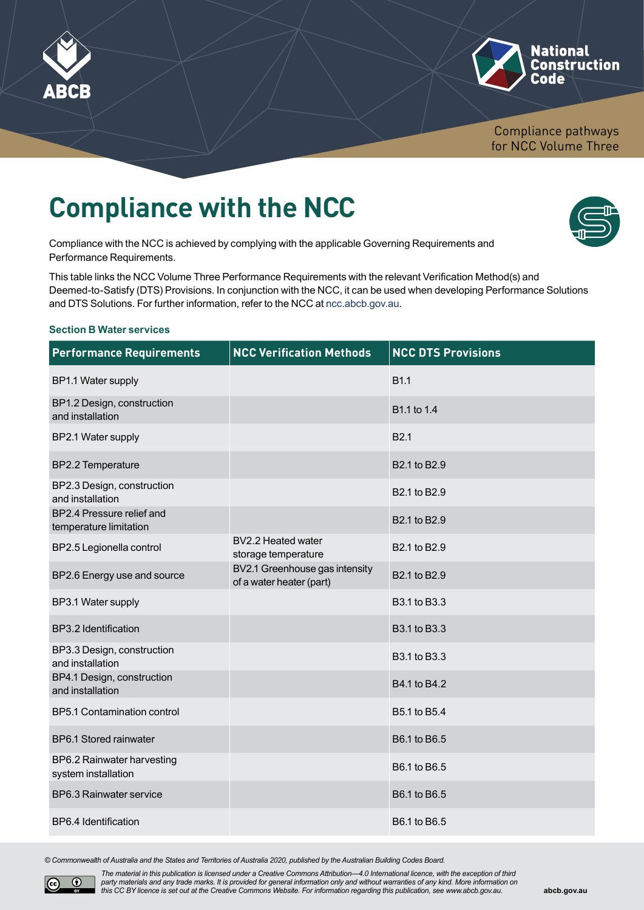



Compliance pathways for NCC Volume Three

# **Compliance with the NCC**

Compliance with the NCC is achieved by complying with the applicable Governing Requirements and Performance Requirements.

This table links the NCC Volume Three Performance Requirements with the relevant Verification Method(s) and Deemed-to-Satisfy (DTS) Provisions. In conjunction with the NCC, it can be used when developing Performance Solutions and DTS Solutions. For further information, refer to the NCC at [ncc.abcb.gov.au](http://ncc.abcb.gov.au).

#### **Section B Water services**

| <b>Performance Requirements</b>                     | <b>NCC Verification Methods</b>                            | <b>NCC DTS Provisions</b> |
|-----------------------------------------------------|------------------------------------------------------------|---------------------------|
| BP1.1 Water supply                                  |                                                            | <b>B1.1</b>               |
| BP1.2 Design, construction<br>and installation      |                                                            | B1.1 to 1.4               |
| BP2.1 Water supply                                  |                                                            | B <sub>2.1</sub>          |
| BP2.2 Temperature                                   |                                                            | B2.1 to B2.9              |
| BP2.3 Design, construction<br>and installation      |                                                            | B2.1 to B2.9              |
| BP2.4 Pressure relief and<br>temperature limitation |                                                            | B2.1 to B2.9              |
| BP2.5 Legionella control                            | BV2.2 Heated water<br>storage temperature                  | B2.1 to B2.9              |
| BP2.6 Energy use and source                         | BV2.1 Greenhouse gas intensity<br>of a water heater (part) | B2.1 to B2.9              |
| BP3.1 Water supply                                  |                                                            | B3.1 to B3.3              |
| BP3.2 Identification                                |                                                            | B3.1 to B3.3              |
| BP3.3 Design, construction<br>and installation      |                                                            | B3.1 to B3.3              |
| BP4.1 Design, construction<br>and installation      |                                                            | B4.1 to B4.2              |
| <b>BP5.1 Contamination control</b>                  |                                                            | B5.1 to B5.4              |
| BP6.1 Stored rainwater                              |                                                            | B6.1 to B6.5              |
| BP6.2 Rainwater harvesting<br>system installation   |                                                            | B6.1 to B6.5              |
| BP6.3 Rainwater service                             |                                                            | B6.1 to B6.5              |
| BP6.4 Identification                                |                                                            | B6.1 to B6.5              |

*© Commonwealth of Australia and the States and Territories of Australia 2020, published by the Australian Building Codes Board.*



*The material in this publication is licensed under a Creative Commons Attribution—4.0 International licence, with the exception of third party materials and any trade marks. It is provided for general information only and without warranties of any kind. More information on this CC BY licence is set out at the Creative Commons Website. For information regarding this publication, see [www.abcb.gov.au.](http://www.abcb.gov.au)*